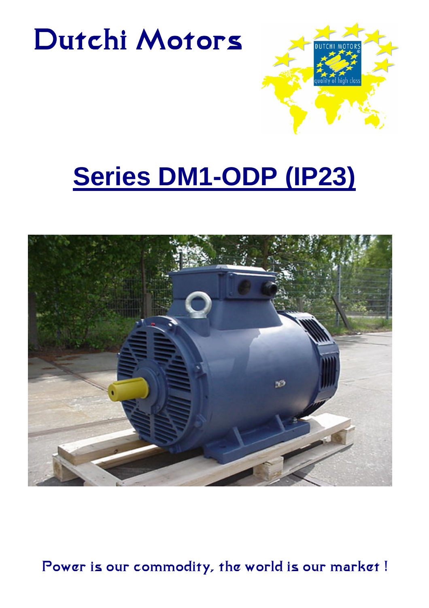# Dutchi Motors



# **Series DM1-ODP (IP23)**



Power is our commodity, the world is our market !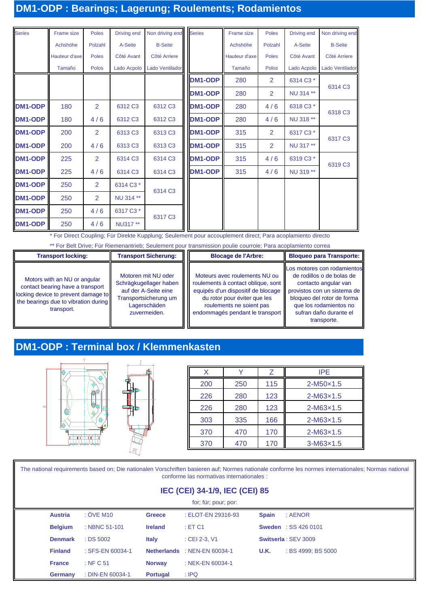## **DM1-ODP : Bearings; Lagerung; Roulements; Rodamientos**

| <b>Series</b> | Frame size    | <b>Poles</b>   | Driving end         | Non driving end | <b>Series</b>  | Frame size    | <b>Poles</b>   | Driving end | Non driving end |
|---------------|---------------|----------------|---------------------|-----------------|----------------|---------------|----------------|-------------|-----------------|
|               | Achshöhe      | Polzahl        | A-Seite             | <b>B-Seite</b>  |                | Achshöhe      | Polzahl        | A-Seite     | <b>B-Seite</b>  |
|               | Hauteur d'axe | <b>Poles</b>   | Côté Avant          | Côté Arriere    |                | Hauteur d'axe | <b>Poles</b>   | Côté Avant  | Côté Arriere    |
|               | Tamaño        | Polos          | Lado Acpolo         | Lado Ventilador |                | Tamaño        | Polos          | Lado Acpolo | Lado Ventilador |
|               |               |                |                     |                 | DM1-ODP        | 280           | 2              | 6314 C3 *   | 6314 C3         |
|               |               |                |                     |                 | DM1-ODP        | 280           | 2              | NU 314 **   |                 |
| DM1-ODP       | 180           | $\overline{2}$ | 6312 C <sub>3</sub> | 6312 C3         | DM1-ODP        | 280           | 4/6            | 6318 C3 *   | 6318 C3         |
| DM1-ODP       | 180           | 4/6            | 6312 C <sub>3</sub> | 6312 C3         | DM1-ODP        | 280           | 4/6            | NU 318 **   |                 |
| DM1-ODP       | 200           | $\overline{2}$ | 6313 C3             | 6313 C3         | DM1-ODP        | 315           | $\overline{2}$ | 6317 C3 *   | 6317 C3         |
| DM1-ODP       | 200           | 4/6            | 6313 C <sub>3</sub> | 6313 C3         | DM1-ODP        | 315           | 2              | NU 317 **   |                 |
| DM1-ODP       | 225           | $\overline{2}$ | 6314 C <sub>3</sub> | 6314 C3         | DM1-ODP        | 315           | 4/6            | 6319 C3 *   |                 |
| DM1-ODP       | 225           | 4/6            | 6314 C <sub>3</sub> | 6314 C3         | <b>DM1-ODP</b> | 315           | 4/6            | NU 319 **   | 6319 C3         |
| DM1-ODP       | 250           | $\overline{2}$ | 6314 C3 *           | 6314 C3         |                |               |                |             |                 |
| DM1-ODP       | 250           | $\overline{2}$ | NU 314 **           |                 |                |               |                |             |                 |
| DM1-ODP       | 250           | 4/6            | 6317 C3 *           | 6317 C3         |                |               |                |             |                 |
| DM1-ODP       | 250           | 4/6            | NU317 **            |                 |                |               |                |             |                 |

\* For Direct Coupling; Für Direkte Kupplung; Seulement pour accouplement direct; Para acoplamiento directo

\*\* For Belt Drive; Für Riemenantrieb; Seulement pour transmission poulie courroie; Para acoplamiento correa

| <b>Transport locking:</b>                                                                                                                                     | <b>Transport Sicherung:</b>                                                                                                    | <b>Blocage de l'Arbre:</b>                                                                                                                                                                               | <b>Bloqueo para Transporte:</b>                                                                                                                                                                                  |
|---------------------------------------------------------------------------------------------------------------------------------------------------------------|--------------------------------------------------------------------------------------------------------------------------------|----------------------------------------------------------------------------------------------------------------------------------------------------------------------------------------------------------|------------------------------------------------------------------------------------------------------------------------------------------------------------------------------------------------------------------|
| Motors with an NU or angular<br>contact bearing have a transport<br>locking device to prevent damage to<br>the bearings due to vibration during<br>transport. | Motoren mit NU oder<br>Schrägkugellager haben<br>auf der A-Seite eine<br>Transportsicherung um<br>Lagerschäden<br>zuvermeiden. | Moteurs avec roulements NU ou<br>roulements à contact oblique, sont<br>equipés d'un dispositif de blocage<br>du rotor pour éviter que les<br>roulements ne soient pas<br>endommagés pendant le transport | Los motores con rodamientos<br>de rodillos o de bolas de<br>contacto angular van<br>provistos con un sistema de<br>bloqueo del rotor de forma<br>que los rodamientos no<br>sufran daño durante el<br>transporte. |

## **DM1-ODP : Terminal box / Klemmenkasten**



|     |     | 7   | <b>IPE</b>         |
|-----|-----|-----|--------------------|
| 200 | 250 | 115 | $2-M50 \times 1.5$ |
| 226 | 280 | 123 | $2-M63x1.5$        |
| 226 | 280 | 123 | $2-M63x1.5$        |
| 303 | 335 | 166 | $2-M63x1.5$        |
| 370 | 470 | 170 | $2-M63x1.5$        |
| 370 | 470 | 170 | $3-M63\times1.5$   |

The national requirements based on; Die nationalen Vorschriften basieren auf; Normes nationale conforme les normes internationales; Normas national conforme las normativas internationales :

|                |                              |                 | IEC (CEI) 34-1/9, IEC (CEI) 85 |              |                             |
|----------------|------------------------------|-----------------|--------------------------------|--------------|-----------------------------|
|                |                              |                 | for; für; pour; por:           |              |                             |
| <b>Austria</b> | $: \ddot{\mathrm{O}}$ VE M10 | <b>Greece</b>   | : ELOT-EN 29316-93             | <b>Spain</b> | : AENOR                     |
| <b>Belgium</b> | : NBNC 51-101                | <b>Ireland</b>  | $\div$ ET C1                   |              | <b>Sweden</b> : SS 426 0101 |
| <b>Denmark</b> | $\therefore$ DS 5002         | <b>Italy</b>    | : CEI 2-3, V1                  |              | Switserla: SEV 3009         |
| <b>Finland</b> | : SFS-EN 60034-1             |                 | Netherlands : NEN-EN 60034-1   | <b>U.K.</b>  | : BS 4999; BS 5000          |
| <b>France</b>  | : NF $C$ 51                  | <b>Norway</b>   | : NEK-EN 60034-1               |              |                             |
| Germany        | : DIN-EN 60034-1             | <b>Portugal</b> | $\therefore$ IPQ               |              |                             |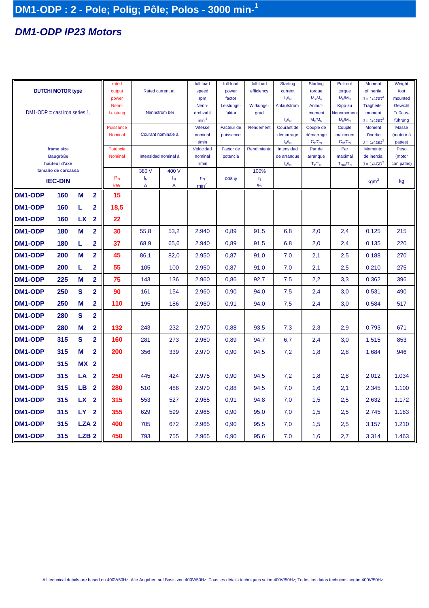## *DM1-ODP IP23 Motors*

|                                 |                                     |                  |                         | rated     |       |                      | full-load      | full-load      | full-load   | <b>Starting</b> | <b>Starting</b> | Pull-out             | Moment           | Weight     |
|---------------------------------|-------------------------------------|------------------|-------------------------|-----------|-------|----------------------|----------------|----------------|-------------|-----------------|-----------------|----------------------|------------------|------------|
|                                 | <b>DUTCHI MOTOR type</b>            |                  |                         | output    |       | Rated current at     | speed          | power          | efficiency  | current         | torque          | torque               | of inertia       | foot       |
|                                 |                                     |                  |                         | power     |       |                      | rpm            | factor         |             | $I_s/I_N$       | $M_{s}/M_{n}$   | $M_k/M_N$            | $J = 1/4GD^2$    | mounted    |
|                                 |                                     |                  |                         | Nenn-     |       |                      | Nenn-          | Leistungs-     | Wirkungs-   | Anlaufstrom     | Anlauf-         | Kipp-zu              | Trägheits-       | Gewicht    |
| $DM1-ODP = cast$ iron series 1, |                                     |                  |                         | Leistung  |       | Nennstrom bei        | drehzahl       | faktor         | grad        |                 | moment          | Nennmoment           | moment           | Fußaus-    |
|                                 |                                     |                  |                         |           |       |                      | $min-1$        |                |             | $I_{a}/I_{N}$   | $M_a/M_N$       | $M_k/M_N$            | $J = 1/4GD^2$    | führung    |
|                                 |                                     |                  |                         | Puissance |       |                      | <b>Vitesse</b> | Facteur de     | Rendement   | Courant de      | Couple de       | Couple               | <b>Moment</b>    | Masse      |
|                                 |                                     |                  |                         | Nominal   |       | Courant nominale à   | nominal        | puissance      |             | démarrage       | démarrage       | maximum              | <b>d'inertie</b> | (moteur à  |
|                                 |                                     |                  |                         |           |       |                      | t/min          |                |             | $I_d/I_N$       | $C_d/C_N$       | $C_m/C_N$            | $J = 1/4GD^2$    | pattes)    |
|                                 | frame size                          |                  |                         | Potencia  |       |                      | Velocidad      | Factor de      | Rendimiento | Intensidad      | Par de          | Par                  | Momento          | Peso       |
|                                 | <b>Baugröße</b>                     |                  |                         | Nominal   |       | Intensidad nominal à | nominal        | potencia       |             | de arranque     | arranque        | maximal              | de inercia       | (motor     |
|                                 | hauteur d'axe<br>tamaño de carcassa |                  |                         |           | 380 V | 400 V                | r/min          |                | 100%        | $I_s/I_N$       | $T_s/T_N$       | $T_{\text{max}}/T_N$ | $J = 1/4GD^2$    | con patas) |
|                                 |                                     |                  |                         | $P_{N}$   | $I_N$ | $I_N$                | $n_N$          | $\cos \varphi$ | η           |                 |                 |                      |                  |            |
|                                 | <b>IEC-DIN</b>                      |                  |                         | kW        | A     | Α                    | $min^{-1}$     |                | %           |                 |                 |                      | kgm <sup>2</sup> | kg         |
| <b>DM1-ODP</b>                  | 160                                 | M                | $\overline{2}$          | 15        |       |                      |                |                |             |                 |                 |                      |                  |            |
| <b>DM1-ODP</b>                  | 160                                 | L                | $\overline{\mathbf{2}}$ | 18,5      |       |                      |                |                |             |                 |                 |                      |                  |            |
| DM1-ODP                         | 160                                 | <b>LX</b>        | $\mathbf{2}$            | 22        |       |                      |                |                |             |                 |                 |                      |                  |            |
| <b>DM1-ODP</b>                  | 180                                 | М                | $\overline{\mathbf{2}}$ | 30        | 55,8  | 53,2                 | 2.940          | 0,89           | 91,5        | 6,8             | 2,0             | 2,4                  | 0,125            | 215        |
| DM1-ODP                         | 180                                 | L                | 2                       | 37        | 68,9  | 65,6                 | 2.940          | 0,89           | 91,5        | 6,8             | 2,0             | 2,4                  | 0,135            | 220        |
| DM1-ODP                         | 200                                 | M                | $\overline{\mathbf{2}}$ | 45        | 86,1  | 82,0                 | 2.950          | 0,87           | 91,0        | 7,0             | 2,1             | 2,5                  | 0,188            | 270        |
| DM1-ODP                         | 200                                 | L                | 2                       | 55        | 105   | 100                  | 2.950          | 0,87           | 91,0        | 7,0             | 2,1             | 2,5                  | 0,210            | 275        |
| DM1-ODP                         | 225                                 | М                | $\overline{\mathbf{2}}$ | 75        | 143   | 136                  | 2.960          | 0,86           | 92,7        | 7,5             | 2,2             | 3,3                  | 0,362            | 396        |
| DM1-ODP                         | 250                                 | $\mathbf{s}$     | $\overline{2}$          | 90        | 161   | 154                  | 2.960          | 0,90           | 94,0        | 7,5             | 2,4             | 3,0                  | 0,531            | 490        |
| DM1-ODP                         | 250                                 | M                | $\overline{\mathbf{2}}$ | 110       | 195   | 186                  | 2.960          | 0,91           | 94,0        | 7,5             | 2,4             | 3,0                  | 0,584            | 517        |
| <b>DM1-ODP</b>                  | 280                                 | $\mathbf{s}$     | $\overline{2}$          |           |       |                      |                |                |             |                 |                 |                      |                  |            |
| <b>DM1-ODP</b>                  | 280                                 | М                | $\overline{\mathbf{2}}$ | 132       | 243   | 232                  | 2.970          | 0,88           | 93,5        | 7,3             | 2,3             | 2,9                  | 0.793            | 671        |
| <b>DM1-ODP</b>                  | 315                                 | S                | $\overline{2}$          | 160       | 281   | 273                  | 2.960          | 0,89           | 94,7        | 6,7             | 2,4             | 3,0                  | 1,515            | 853        |
| <b>DM1-ODP</b>                  | 315                                 | М                | $\overline{2}$          | 200       | 356   | 339                  | 2.970          | 0,90           | 94,5        | 7,2             | 1,8             | 2,8                  | 1,684            | 946        |
| <b>DM1-ODP</b>                  | 315                                 | <b>MX</b>        | $\overline{\mathbf{2}}$ |           |       |                      |                |                |             |                 |                 |                      |                  |            |
| DM1-ODP                         | 315                                 | LA               | $\mathbf{2}$            | 250       | 445   | 424                  | 2.975          | 0,90           | 94,5        | 7,2             | 1,8             | 2,8                  | 2,012            | 1.034      |
| <b>DM1-ODP</b>                  | 315                                 | LB.              | $\mathbf{2}$            | 280       | 510   | 486                  | 2.970          | 0,88           | 94,5        | 7,0             | 1,6             | 2,1                  | 2,345            | 1.100      |
| DM1-ODP                         | 315                                 | <b>LX</b>        | $\mathbf{2}$            | 315       | 553   | 527                  | 2.965          | 0,91           | 94,8        | 7,0             | 1,5             | 2,5                  | 2,632            | 1.172      |
| DM1-ODP                         | 315                                 | LY.              | $\mathbf{2}$            | 355       | 629   | 599                  | 2.965          | 0,90           | 95,0        | 7,0             | 1,5             | 2,5                  | 2,745            | 1.183      |
| DM1-ODP                         | 315                                 | LZA <sub>2</sub> |                         | 400       | 705   | 672                  | 2.965          | 0,90           | 95,5        | 7,0             | 1,5             | 2,5                  | 3,157            | 1.210      |
| DM1-ODP                         | 315                                 | LZB <sub>2</sub> |                         | 450       | 793   | 755                  | 2.965          | 0,90           | 95,6        | 7,0             | 1,6             | 2,7                  | 3,314            | 1.463      |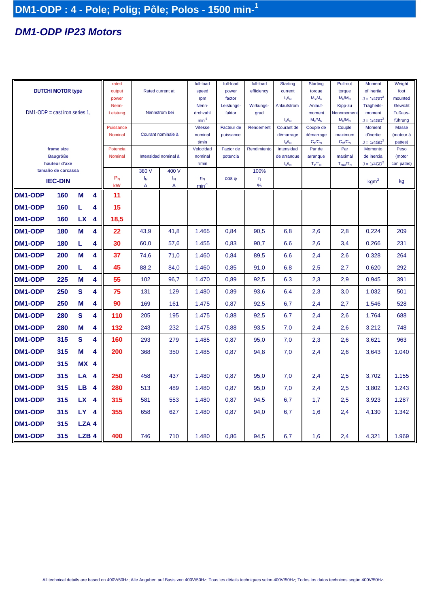## *DM1-ODP IP23 Motors*

|                                 |                          |                  |                     | rated     |                  |                      | full-load                 | full-load      | full-load   | <b>Starting</b>         | <b>Starting</b>        | Pull-out          | Moment                  | Weight           |
|---------------------------------|--------------------------|------------------|---------------------|-----------|------------------|----------------------|---------------------------|----------------|-------------|-------------------------|------------------------|-------------------|-------------------------|------------------|
|                                 | <b>DUTCHI MOTOR type</b> |                  |                     | output    | Rated current at |                      | speed                     | power          | efficiency  | current                 | torque                 | torque            | of inertia              | foot             |
|                                 |                          |                  |                     | power     |                  |                      | rpm                       | factor         |             | $I_s/I_N$               | $M_s/M_n$              | $M_k/M_N$         | $J = 1/4GD^2$           | mounted          |
|                                 |                          |                  |                     | Nenn-     |                  |                      | Nenn-                     | Leistungs-     | Wirkungs-   | Anlaufstrom             | Anlauf-                | Kipp-zu           | Trägheits-              | Gewicht          |
| $DM1-ODP = cast$ iron series 1, |                          |                  |                     | Leistung  |                  | Nennstrom bei        | drehzahl                  | faktor         | grad        |                         | moment                 | Nennmoment        | moment                  | Fußaus-          |
|                                 |                          |                  |                     | Puissance |                  |                      | $min-1$<br><b>Vitesse</b> | Facteur de     | Rendement   | $I_a/I_N$<br>Courant de | $M_a/M_N$<br>Couple de | $M_k/M_N$         | $J = 1/4GD^2$<br>Moment | führung<br>Masse |
|                                 |                          |                  |                     | Nominal   |                  | Courant nominale à   | nominal                   | puissance      |             | démarrage               | démarrage              | Couple<br>maximum | <b>d'inertie</b>        | (moteur à        |
|                                 |                          |                  |                     |           |                  |                      | t/min                     |                |             | $I_d/I_N$               | $C_d/C_N$              | $C_m/C_N$         | $J = 1/4GD^2$           | pattes)          |
|                                 | frame size               |                  |                     | Potencia  |                  |                      | Velocidad                 | Factor de      | Rendimiento | Intensidad              | Par de                 | Par               | Momento                 | Peso             |
|                                 | <b>Baugröße</b>          |                  |                     | Nominal   |                  | Intensidad nominal à | nominal                   | potencia       |             | de arranque             | arranque               | maximal           | de inercia              | (motor           |
|                                 | hauteur d'axe            |                  |                     |           |                  |                      | r/min                     |                |             | $I_s/I_N$               | $T_s/T_N$              | $T_{max}/T_N$     | $J = 1/4GD^2$           | con patas)       |
|                                 | tamaño de carcassa       |                  |                     |           | 380 V            | 400 V                |                           |                | 100%        |                         |                        |                   |                         |                  |
|                                 | <b>IEC-DIN</b>           |                  |                     | $P_{N}$   | $I_N$            | $I_N$                | $n_N$                     | $\cos \varphi$ | $\eta$      |                         |                        |                   | kgm <sup>2</sup>        | kg               |
|                                 |                          |                  |                     | kW        | A                | A                    | $min^{-1}$                |                | %           |                         |                        |                   |                         |                  |
| DM1-ODP                         | 160                      | M                | 4                   | 11        |                  |                      |                           |                |             |                         |                        |                   |                         |                  |
| <b>DM1-ODP</b>                  | 160                      | L                | 4                   | 15        |                  |                      |                           |                |             |                         |                        |                   |                         |                  |
| DM1-ODP                         | 160                      | <b>LX</b>        | 4                   | 18,5      |                  |                      |                           |                |             |                         |                        |                   |                         |                  |
| <b>DM1-ODP</b>                  | 180                      | М                | 4                   | 22        | 43,9             | 41,8                 | 1.465                     | 0,84           | 90,5        | 6,8                     | 2,6                    | 2,8               | 0,224                   | 209              |
| DM1-ODP                         | 180                      | L                | 4                   | 30        | 60,0             | 57,6                 | 1.455                     | 0,83           | 90,7        | 6,6                     | 2,6                    | 3,4               | 0,266                   | 231              |
| <b>DM1-ODP</b>                  | 200                      | M                | 4                   | 37        | 74,6             | 71,0                 | 1.460                     | 0,84           | 89,5        | 6,6                     | 2,4                    | 2,6               | 0,328                   | 264              |
| <b>DM1-ODP</b>                  | 200                      | L                | 4                   | 45        | 88,2             | 84,0                 | 1.460                     | 0,85           | 91,0        | 6,8                     | 2,5                    | 2,7               | 0,620                   | 292              |
| DM1-ODP                         | 225                      | M                | 4                   | 55        | 102              | 96,7                 | 1.470                     | 0,89           | 92,5        | 6,3                     | 2,3                    | 2,9               | 0,945                   | 391              |
| <b>DM1-ODP</b>                  | 250                      | S                | 4                   | 75        | 131              | 129                  | 1.480                     | 0,89           | 93,6        | 6,4                     | 2,3                    | 3,0               | 1,032                   | 501              |
| <b>DM1-ODP</b>                  | 250                      | М                | 4                   | 90        | 169              | 161                  | 1.475                     | 0,87           | 92,5        | 6,7                     | 2,4                    | 2,7               | 1,546                   | 528              |
| <b>DM1-ODP</b>                  | 280                      | S                | 4                   | 110       | 205              | 195                  | 1.475                     | 0,88           | 92,5        | 6,7                     | 2,4                    | 2,6               | 1,764                   | 688              |
| <b>DM1-ODP</b>                  | 280                      | М                | 4                   | 132       | 243              | 232                  | 1.475                     | 0,88           | 93,5        | 7,0                     | 2,4                    | 2,6               | 3,212                   | 748              |
| <b>DM1-ODP</b>                  | 315                      | S                | 4                   | 160       | 293              | 279                  | 1.485                     | 0,87           | 95,0        | 7,0                     | 2,3                    | 2,6               | 3,621                   | 963              |
| <b>DM1-ODP</b>                  | 315                      | М                | 4                   | 200       | 368              | 350                  | 1.485                     | 0,87           | 94,8        | 7,0                     | 2,4                    | 2,6               | 3,643                   | 1.040            |
| <b>DM1-ODP</b>                  | 315                      | <b>MX</b>        | 4                   |           |                  |                      |                           |                |             |                         |                        |                   |                         |                  |
| DM1-ODP                         | 315                      | LA               | 4                   | 250       | 458              | 437                  | 1.480                     | 0,87           | 95,0        | 7,0                     | 2,4                    | 2,5               | 3,702                   | 1.155            |
| DM1-ODP                         | 315                      | LВ               | 4                   | 280       | 513              | 489                  | 1.480                     | 0,87           | 95,0        | 7,0                     | 2,4                    | 2,5               | 3,802                   | 1.243            |
| DM1-ODP                         | 315                      | <b>LX</b>        | 4                   | 315       | 581              | 553                  | 1.480                     | 0,87           | 94,5        | 6,7                     | 1,7                    | 2,5               | 3,923                   | 1.287            |
| <b>DM1-ODP</b>                  | 315                      | <b>LY</b>        | $\overline{\bf{4}}$ | 355       | 658              | 627                  | 1.480                     | 0,87           | 94,0        | 6,7                     | 1,6                    | 2,4               | 4,130                   | 1.342            |
| DM1-ODP                         | 315                      | LZA 4            |                     |           |                  |                      |                           |                |             |                         |                        |                   |                         |                  |
| <b>DM1-ODP</b>                  | 315                      | LZB <sub>4</sub> |                     | 400       | 746              | 710                  | 1.480                     | 0,86           | 94,5        | 6,7                     | 1,6                    | 2,4               | 4,321                   | 1.969            |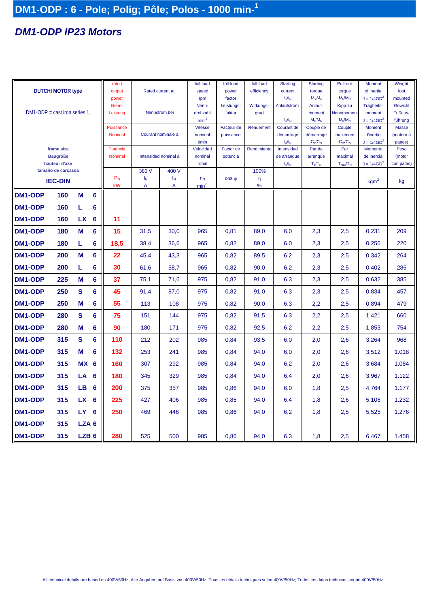## *DM1-ODP IP23 Motors*

|                                 |                               |                  |   | rated     |                  |                      | full-load        | full-load      | full-load   | <b>Starting</b>          | <b>Starting</b>       | Pull-out                 | Moment                      | Weight               |
|---------------------------------|-------------------------------|------------------|---|-----------|------------------|----------------------|------------------|----------------|-------------|--------------------------|-----------------------|--------------------------|-----------------------------|----------------------|
|                                 | <b>DUTCHI MOTOR type</b>      |                  |   | output    | Rated current at |                      | speed            | power          | efficiency  | current                  | torque                | torque                   | of inertia                  | foot                 |
|                                 |                               |                  |   | power     |                  |                      | rpm              | factor         |             | $I_s/I_N$                | $M_s/M_n$             | $M_k/M_N$                | $J = 1/4GD^2$               | mounted              |
|                                 |                               |                  |   | Nenn-     |                  |                      | Nenn-            | Leistungs-     | Wirkungs-   | Anlaufstrom              | Anlauf-               | Kipp-zu                  | Trägheits-                  | Gewicht              |
| $DM1-ODP = cast$ iron series 1, |                               |                  |   | Leistung  |                  | Nennstrom bei        | drehzahl         | faktor         | grad        |                          | moment                | Nennmoment               | moment                      | Fußaus-              |
|                                 |                               |                  |   |           |                  |                      | $min^{-1}$       |                |             | $I_a/I_N$                | $M_a/M_N$             | $M_k/M_N$                | $J = 1/4GD^2$               | führung              |
|                                 |                               |                  |   | Puissance |                  |                      | <b>Vitesse</b>   | Facteur de     | Rendement   | Courant de               | Couple de             | Couple                   | Moment                      | Masse                |
|                                 |                               |                  |   | Nominal   |                  | Courant nominale à   | nominal          | puissance      |             | démarrage                | démarrage             | maximum                  | d'inertie                   | (moteur à            |
|                                 |                               |                  |   |           |                  |                      | t/min            |                |             | $I_d/I_N$                | $C_d/C_N$             | $C_m/C_N$                | $J = 1/4GD^2$               | pattes)              |
|                                 | frame size<br><b>Baugröße</b> |                  |   | Potencia  |                  | Intensidad nominal à | Velocidad        | Factor de      | Rendimiento | Intensidad               | Par de                | Par                      | Momento                     | Peso                 |
|                                 | hauteur d'axe                 |                  |   | Nominal   |                  |                      | nominal<br>r/min | potencia       |             | de arranque<br>$I_s/I_N$ | arranque<br>$T_s/T_N$ | maximal<br>$T_{max}/T_N$ | de inercia<br>$J = 1/4GD^2$ | (motor<br>con patas) |
|                                 | tamaño de carcassa            |                  |   |           | 380 V            | 400 V                |                  |                | 100%        |                          |                       |                          |                             |                      |
|                                 |                               |                  |   | $P_{N}$   | $I_N$            | $I_N$                | $n_N$            | $\cos \varphi$ | $\eta$      |                          |                       |                          |                             |                      |
|                                 | <b>IEC-DIN</b>                |                  |   | kW        | A                | Α                    | $min^{-1}$       |                | %           |                          |                       |                          | kgm <sup>2</sup>            | kg                   |
| <b>DM1-ODP</b>                  | 160                           | м                | 6 |           |                  |                      |                  |                |             |                          |                       |                          |                             |                      |
| <b>DM1-ODP</b>                  | 160                           | L                | 6 |           |                  |                      |                  |                |             |                          |                       |                          |                             |                      |
| <b>DM1-ODP</b>                  | 160                           | <b>LX</b>        | 6 | 11        |                  |                      |                  |                |             |                          |                       |                          |                             |                      |
| DM1-ODP                         | 180                           | М                | 6 | 15        | 31,5             | 30,0                 | 965              | 0,81           | 89,0        | 6,0                      | 2,3                   | 2,5                      | 0,231                       | 209                  |
| DM1-ODP                         | 180                           | L                | 6 | 18,5      | 38,4             | 36,6                 | 965              | 0,82           | 89,0        | 6,0                      | 2,3                   | 2,5                      | 0,256                       | 220                  |
| DM1-ODP                         | 200                           | M                | 6 | 22        | 45,4             | 43,3                 | 965              | 0,82           | 89,5        | 6,2                      | 2,3                   | 2,5                      | 0,342                       | 264                  |
| DM1-ODP                         | 200                           | L                | 6 | 30        | 61,6             | 58,7                 | 965              | 0,82           | 90.0        | 6,2                      | 2,3                   | 2,5                      | 0,402                       | 286                  |
|                                 |                               |                  |   |           |                  |                      |                  |                |             |                          |                       |                          |                             |                      |
| <b>DM1-ODP</b>                  | 225                           | M                | 6 | 37        | 75,1             | 71,6                 | 975              | 0,82           | 91,0        | 6,3                      | 2,3                   | 2,5                      | 0,632                       | 385                  |
| <b>DM1-ODP</b>                  | 250                           | $\mathbf{s}$     | 6 | 45        | 91,4             | 87,0                 | 975              | 0,82           | 91,0        | 6,3                      | 2,3                   | 2,5                      | 0,834                       | 457                  |
| DM1-ODP                         | 250                           | М                | 6 | 55        | 113              | 108                  | 975              | 0,82           | 90,0        | 6,3                      | 2,2                   | 2,5                      | 0,894                       | 479                  |
| DM1-ODP                         | 280                           | S                | 6 | 75        | 151              | 144                  | 975              | 0,82           | 91,5        | 6,3                      | 2,2                   | 2,5                      | 1,421                       | 660                  |
| DM1-ODP                         | 280                           | М                | 6 | 90        | 180              | 171                  | 975              | 0,82           | 92,5        | 6,2                      | 2,2                   | 2,5                      | 1,853                       | 754                  |
| <b>DM1-ODP</b>                  | 315                           | S                | 6 | 110       | 212              | 202                  | 985              | 0.84           | 93,5        | 6,0                      | 2,0                   | 2,6                      | 3,264                       | 968                  |
| <b>DM1-ODP</b>                  | 315                           | М                | 6 | 132       | 253              | 241                  | 985              | 0,84           | 94,0        | 6,0                      | 2,0                   | 2,6                      | 3,512                       | 1.018                |
| DM1-ODP                         | 315                           | <b>MX</b>        | 6 | 160       | 307              | 292                  | 985              | 0,84           | 94,0        | 6,2                      | 2,0                   | 2,6                      | 3,684                       | 1.084                |
| DM1-ODP                         | 315                           | LA               | 6 | 180       | 345              | 329                  | 985              | 0,84           | 94,0        | 6,4                      | 2,0                   | 2,6                      | 3,967                       | 1.122                |
| <b>DM1-ODP</b>                  | 315                           | LВ               | 6 | 200       | 375              | 357                  | 985              | 0,86           | 94,0        | 6,0                      | 1,8                   | 2,5                      | 4,764                       | 1.177                |
| DM1-ODP                         | 315                           | <b>LX</b>        | 6 | 225       | 427              | 406                  | 985              | 0,85           | 94,0        | 6,4                      | 1,8                   | 2,6                      | 5,106                       | 1.232                |
| <b>DM1-ODP</b>                  | 315                           | LY .             | 6 | 250       | 469              | 446                  | 985              | 0,86           | 94,0        | 6,2                      | 1,8                   | 2,5                      | 5,525                       | 1.276                |
| <b>DM1-ODP</b>                  | 315                           | LZA <sub>6</sub> |   |           |                  |                      |                  |                |             |                          |                       |                          |                             |                      |
| <b>DM1-ODP</b>                  | 315                           | LZB <sub>6</sub> |   | 280       | 525              | 500                  | 985              | 0.86           | 94,0        | 6,3                      | 1,8                   | 2,5                      | 6,467                       | 1.458                |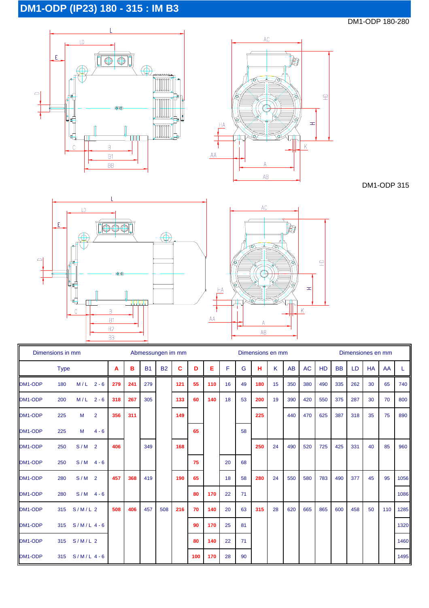# **DM1-ODP (IP23) 180 - 315 : IM B3**

#### DM1-ODP 180-280





### DM1-ODP 315



|         | Dimensions in mm |             |                | Abmessungen im mm |     |           |           |     |     |     | Dimensions en mm |    |     |    |           |           |           | Dimensiones en mm |     |           |     |      |  |
|---------|------------------|-------------|----------------|-------------------|-----|-----------|-----------|-----|-----|-----|------------------|----|-----|----|-----------|-----------|-----------|-------------------|-----|-----------|-----|------|--|
|         | <b>Type</b>      |             |                | A                 | в   | <b>B1</b> | <b>B2</b> | C   | D   | Е   | F                | G  | н   | K  | <b>AB</b> | <b>AC</b> | <b>HD</b> | <b>BB</b>         | LD  | <b>HA</b> | AA  |      |  |
| DM1-ODP | 180              | M/L         | $2 - 6$        | 279               | 241 | 279       |           | 121 | 55  | 110 | 16               | 49 | 180 | 15 | 350       | 380       | 490       | 335               | 262 | 30        | 65  | 740  |  |
| DM1-ODP | 200              | M/L         | $2 - 6$        | 318               | 267 | 305       |           | 133 | 60  | 140 | 18               | 53 | 200 | 19 | 390       | 420       | 550       | 375               | 287 | 30        | 70  | 800  |  |
| DM1-ODP | 225              | M           | $\overline{2}$ | 356               | 311 |           |           | 149 |     |     |                  |    | 225 |    | 440       | 470       | 625       | 387               | 318 | 35        | 75  | 890  |  |
| DM1-ODP | 225              | M           | $4 - 6$        |                   |     |           |           |     | 65  |     |                  | 58 |     |    |           |           |           |                   |     |           |     |      |  |
| DM1-ODP | 250              | $S/M$ 2     |                | 406               |     | 349       |           | 168 |     |     |                  |    | 250 | 24 | 490       | 520       | 725       | 425               | 331 | 40        | 85  | 960  |  |
| DM1-ODP | 250              |             | $S/M$ 4-6      |                   |     |           |           |     | 75  |     | 20               | 68 |     |    |           |           |           |                   |     |           |     |      |  |
| DM1-ODP | 280              | S/M         | $\overline{2}$ | 457               | 368 | 419       |           | 190 | 65  |     | 18               | 58 | 280 | 24 | 550       | 580       | 783       | 490               | 377 | 45        | 95  | 1056 |  |
| DM1-ODP | 280              |             | $S/M$ 4-6      |                   |     |           |           |     | 80  | 170 | 22               | 71 |     |    |           |           |           |                   |     |           |     | 1086 |  |
| DM1-ODP | 315              | $S/M/L$ 2   |                | 508               | 406 | 457       | 508       | 216 | 70  | 140 | 20               | 63 | 315 | 28 | 620       | 665       | 865       | 600               | 458 | 50        | 110 | 1285 |  |
| DM1-ODP | 315              | $S/M/L$ 4-6 |                |                   |     |           |           |     | 90  | 170 | 25               | 81 |     |    |           |           |           |                   |     |           |     | 1320 |  |
| DM1-ODP | 315              | $S/M/L$ 2   |                |                   |     |           |           |     | 80  | 140 | 22               | 71 |     |    |           |           |           |                   |     |           |     | 1460 |  |
| DM1-ODP | 315              | $S/M/L$ 4-6 |                |                   |     |           |           |     | 100 | 170 | 28               | 90 |     |    |           |           |           |                   |     |           |     | 1495 |  |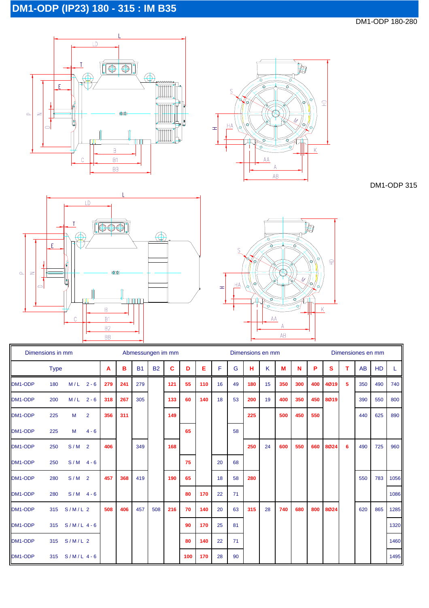# **DM1-ODP (IP23) 180 - 315 : IM B35**

#### DM1-ODP 180-280





DM1-ODP 315

 $\overline{a}$ 





|         | Dimensions in mm |             |                |     |     | Abmessungen im mm |           |     |     |     |    |    | Dimensions en mm |    |     |     |     |      |    | Dimensiones en mm |           |      |
|---------|------------------|-------------|----------------|-----|-----|-------------------|-----------|-----|-----|-----|----|----|------------------|----|-----|-----|-----|------|----|-------------------|-----------|------|
|         | <b>Type</b>      |             |                | А   | B   | <b>B1</b>         | <b>B2</b> | C.  | D   | Е   | F  | G  | н                | K  | M   | N   | P   | S    | T. | AB                | <b>HD</b> |      |
| DM1-ODP | 180              | M/L         | $2 - 6$        | 279 | 241 | 279               |           | 121 | 55  | 110 | 16 | 49 | 180              | 15 | 350 | 300 | 400 | 4Ø19 | 5  | 350               | 490       | 740  |
| DM1-ODP | 200              | M/L         | $2 - 6$        | 318 | 267 | 305               |           | 133 | 60  | 140 | 18 | 53 | 200              | 19 | 400 | 350 | 450 | 8Ø19 |    | 390               | 550       | 800  |
| DM1-ODP | 225              | M           | $\overline{2}$ | 356 | 311 |                   |           | 149 |     |     |    |    | 225              |    | 500 | 450 | 550 |      |    | 440               | 625       | 890  |
| DM1-ODP | 225              | M           | $4 - 6$        |     |     |                   |           |     | 65  |     |    | 58 |                  |    |     |     |     |      |    |                   |           |      |
| DM1-ODP | 250              | $S/M$ 2     |                | 406 |     | 349               |           | 168 |     |     |    |    | 250              | 24 | 600 | 550 | 660 | 8Ø24 | 6  | 490               | 725       | 960  |
| DM1-ODP | 250              | S/M         | $4 - 6$        |     |     |                   |           |     | 75  |     | 20 | 68 |                  |    |     |     |     |      |    |                   |           |      |
| DM1-ODP | 280              | S/M         | $\overline{2}$ | 457 | 368 | 419               |           | 190 | 65  |     | 18 | 58 | 280              |    |     |     |     |      |    | 550               | 783       | 1056 |
| DM1-ODP | 280              | S/M         | $4 - 6$        |     |     |                   |           |     | 80  | 170 | 22 | 71 |                  |    |     |     |     |      |    |                   |           | 1086 |
| DM1-ODP | 315              | $S/M/L$ 2   |                | 508 | 406 | 457               | 508       | 216 | 70  | 140 | 20 | 63 | 315              | 28 | 740 | 680 | 800 | 8Ø24 |    | 620               | 865       | 1285 |
| DM1-ODP | 315              | $S/M/L$ 4-6 |                |     |     |                   |           |     | 90  | 170 | 25 | 81 |                  |    |     |     |     |      |    |                   |           | 1320 |
| DM1-ODP | 315              | $S/M/L$ 2   |                |     |     |                   |           |     | 80  | 140 | 22 | 71 |                  |    |     |     |     |      |    |                   |           | 1460 |
| DM1-ODP | 315              | $S/M/L$ 4-6 |                |     |     |                   |           |     | 100 | 170 | 28 | 90 |                  |    |     |     |     |      |    |                   |           | 1495 |